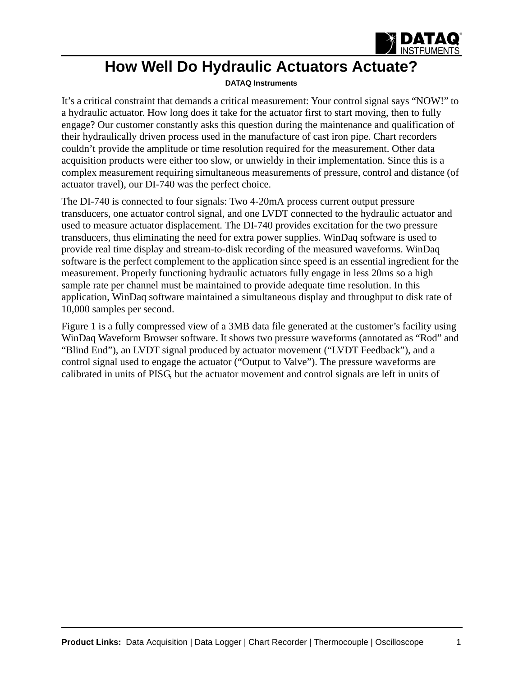

## **How Well Do Hydraulic Actuators Actuate?**

## **[DATAQ Instruments](http://www.dataq.com)**

It's a critical constraint that demands a critical measurement: Your control signal says "NOW!" to a hydraulic actuator. How long does it take for the actuator first to start moving, then to fully engage? Our customer constantly asks this question during the maintenance and qualification of their hydraulically driven process used in the manufacture of cast iron pipe. Chart recorders couldn't provide the amplitude or time resolution required for the measurement. Other data acquisition products were either too slow, or unwieldy in their implementation. Since this is a complex measurement requiring simultaneous measurements of pressure, control and distance (of actuator travel), our DI-740 was the perfect choice.

The DI-740 is connected to four signals: Two 4-20mA process current output pressure transducers, one actuator control signal, and one LVDT connected to the hydraulic actuator and used to measure actuator displacement. The DI-740 provides excitation for the two pressure transducers, thus eliminating the need for extra power supplies. WinDaq software is used to provide real time display and stream-to-disk recording of the measured waveforms. WinDaq software is the perfect complement to the application since speed is an essential ingredient for the measurement. Properly functioning hydraulic actuators fully engage in less 20ms so a high sample rate per channel must be maintained to provide adequate time resolution. In this application, WinDaq software maintained a simultaneous display and throughput to disk rate of 10,000 samples per second.

Figure 1 is a fully compressed view of a 3MB data file generated at the customer's facility using WinDaq Waveform Browser software. It shows two pressure waveforms (annotated as "Rod" and "Blind End"), an LVDT signal produced by actuator movement ("LVDT Feedback"), and a control signal used to engage the actuator ("Output to Valve"). The pressure waveforms are calibrated in units of PISG, but the actuator movement and control signals are left in units of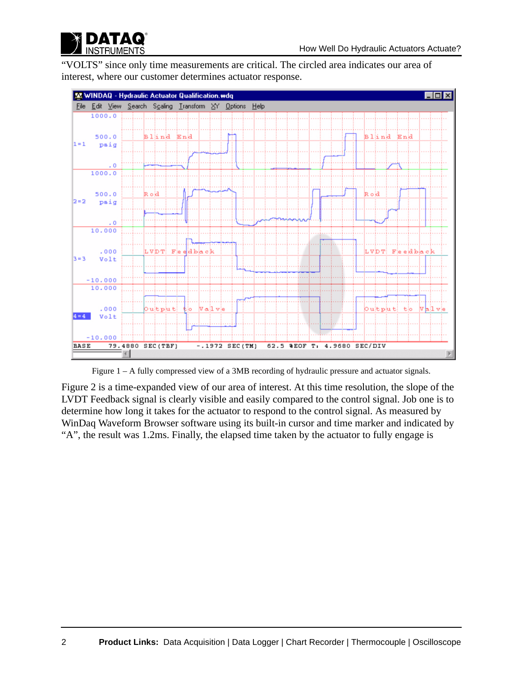

"VOLTS" since only time measurements are critical. The circled area indicates our area of interest, where our customer determines actuator response.



Figure 1 – A fully compressed view of a 3MB recording of hydraulic pressure and actuator signals.

Figure 2 is a time-expanded view of our area of interest. At this time resolution, the slope of the LVDT Feedback signal is clearly visible and easily compared to the control signal. Job one is to determine how long it takes for the actuator to respond to the control signal. As measured by WinDaq Waveform Browser software using its built-in cursor and time marker and indicated by "A", the result was 1.2ms. Finally, the elapsed time taken by the actuator to fully engage is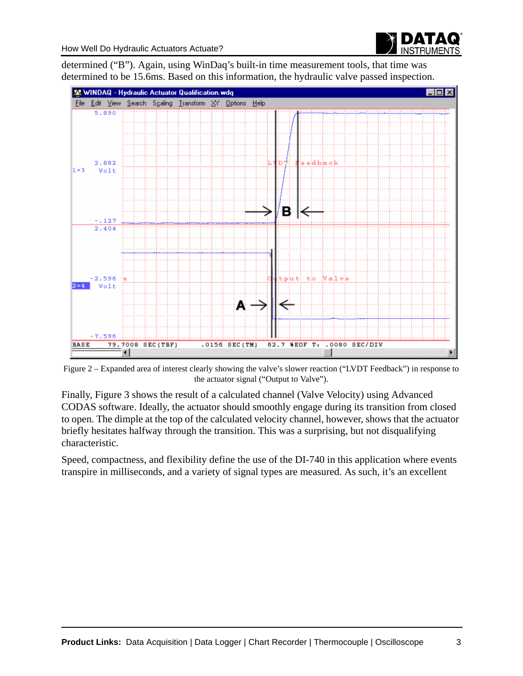

determined ("B"). Again, using WinDaq's built-in time measurement tools, that time was determined to be 15.6ms. Based on this information, the hydraulic valve passed inspection.



Figure 2 – Expanded area of interest clearly showing the valve's slower reaction ("LVDT Feedback") in response to the actuator signal ("Output to Valve").

Finally, Figure 3 shows the result of a calculated channel (Valve Velocity) using Advanced CODAS software. Ideally, the actuator should smoothly engage during its transition from closed to open. The dimple at the top of the calculated velocity channel, however, shows that the actuator briefly hesitates halfway through the transition. This was a surprising, but not disqualifying characteristic.

Speed, compactness, and flexibility define the use of the DI-740 in this application where events transpire in milliseconds, and a variety of signal types are measured. As such, it's an excellent